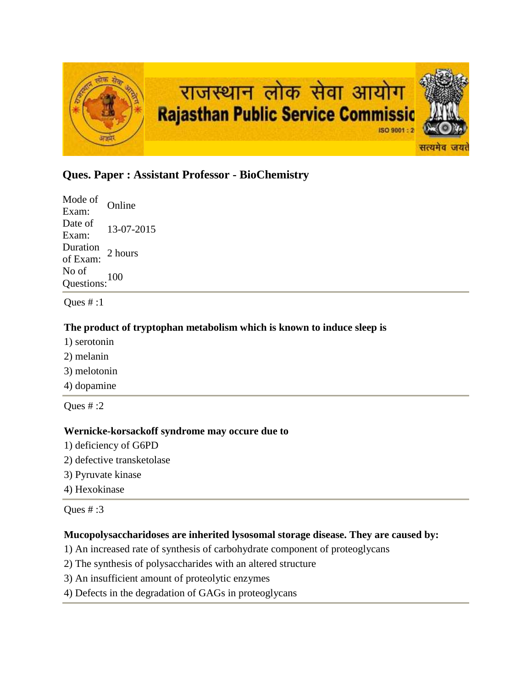

# **Ques. Paper : Assistant Professor - BioChemistry**

Mode of Exam: Online Date of Exam: 13-07-2015 Duration<br>of Exam: 2 hours No of Questions:<sup>100</sup>

Ques # :1

### **The product of tryptophan metabolism which is known to induce sleep is**

- 1) serotonin
- 2) melanin
- 3) melotonin
- 4) dopamine

Ques  $# 2$ 

#### **Wernicke-korsackoff syndrome may occure due to**

- 1) deficiency of G6PD
- 2) defective transketolase
- 3) Pyruvate kinase
- 4) Hexokinase

Ques # :3

# **Mucopolysaccharidoses are inherited lysosomal storage disease. They are caused by:**

- 1) An increased rate of synthesis of carbohydrate component of proteoglycans
- 2) The synthesis of polysaccharides with an altered structure
- 3) An insufficient amount of proteolytic enzymes
- 4) Defects in the degradation of GAGs in proteoglycans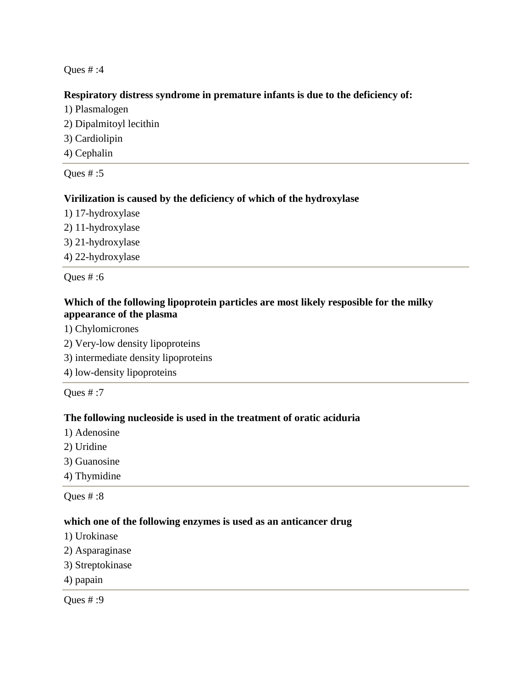### **Respiratory distress syndrome in premature infants is due to the deficiency of:**

- 1) Plasmalogen
- 2) Dipalmitoyl lecithin
- 3) Cardiolipin
- 4) Cephalin

Ques # :5

# **Virilization is caused by the deficiency of which of the hydroxylase**

- 1) 17-hydroxylase
- 2) 11-hydroxylase
- 3) 21-hydroxylase
- 4) 22-hydroxylase

Ques # :6

# **Which of the following lipoprotein particles are most likely resposible for the milky appearance of the plasma**

- 1) Chylomicrones
- 2) Very-low density lipoproteins
- 3) intermediate density lipoproteins
- 4) low-density lipoproteins

Ques # :7

# **The following nucleoside is used in the treatment of oratic aciduria**

- 1) Adenosine
- 2) Uridine
- 3) Guanosine
- 4) Thymidine

Ques # :8

#### **which one of the following enzymes is used as an anticancer drug**

- 1) Urokinase
- 2) Asparaginase
- 3) Streptokinase
- 4) papain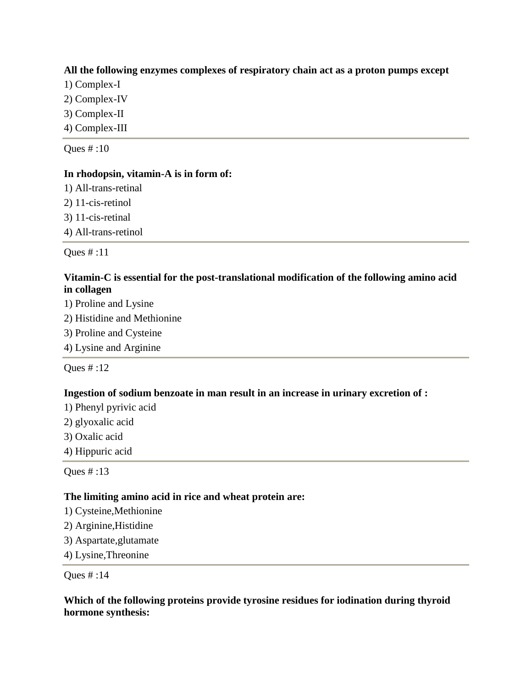### **All the following enzymes complexes of respiratory chain act as a proton pumps except**

- 1) Complex-I
- 2) Complex-IV
- 3) Complex-II
- 4) Complex-III

Ques # :10

#### **In rhodopsin, vitamin-A is in form of:**

- 1) All-trans-retinal
- 2) 11-cis-retinol
- 3) 11-cis-retinal
- 4) All-trans-retinol

Ques # :11

### **Vitamin-C is essential for the post-translational modification of the following amino acid in collagen**

- 1) Proline and Lysine
- 2) Histidine and Methionine
- 3) Proline and Cysteine
- 4) Lysine and Arginine

Ques # :12

# **Ingestion of sodium benzoate in man result in an increase in urinary excretion of :**

- 1) Phenyl pyrivic acid
- 2) glyoxalic acid
- 3) Oxalic acid
- 4) Hippuric acid

Ques # :13

# **The limiting amino acid in rice and wheat protein are:**

- 1) Cysteine,Methionine
- 2) Arginine,Histidine
- 3) Aspartate,glutamate
- 4) Lysine,Threonine

Ques # :14

### **Which of the following proteins provide tyrosine residues for iodination during thyroid hormone synthesis:**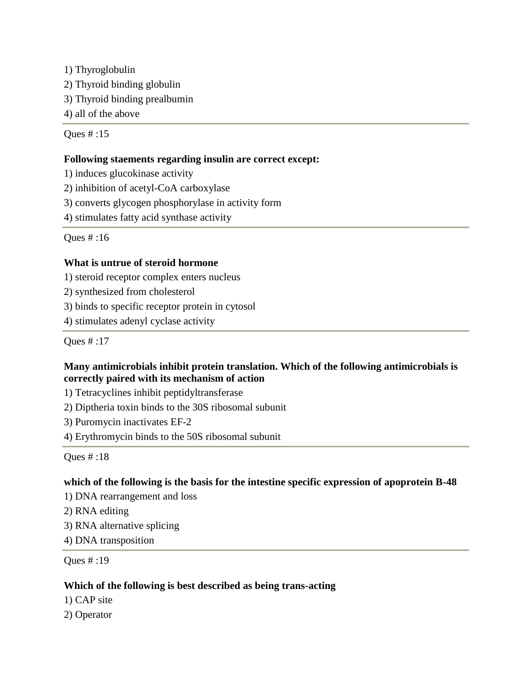1) Thyroglobulin 2) Thyroid binding globulin 3) Thyroid binding prealbumin 4) all of the above

Ques # :15

# **Following staements regarding insulin are correct except:**

1) induces glucokinase activity

2) inhibition of acetyl-CoA carboxylase

3) converts glycogen phosphorylase in activity form

4) stimulates fatty acid synthase activity

Ques # :16

# **What is untrue of steroid hormone**

1) steroid receptor complex enters nucleus

2) synthesized from cholesterol

3) binds to specific receptor protein in cytosol

4) stimulates adenyl cyclase activity

Ques # :17

# **Many antimicrobials inhibit protein translation. Which of the following antimicrobials is correctly paired with its mechanism of action**

1) Tetracyclines inhibit peptidyltransferase

2) Diptheria toxin binds to the 30S ribosomal subunit

3) Puromycin inactivates EF-2

4) Erythromycin binds to the 50S ribosomal subunit

Ques # :18

# **which of the following is the basis for the intestine specific expression of apoprotein B-48**

1) DNA rearrangement and loss

2) RNA editing

3) RNA alternative splicing

4) DNA transposition

Ques # :19

# **Which of the following is best described as being trans-acting**

1) CAP site

2) Operator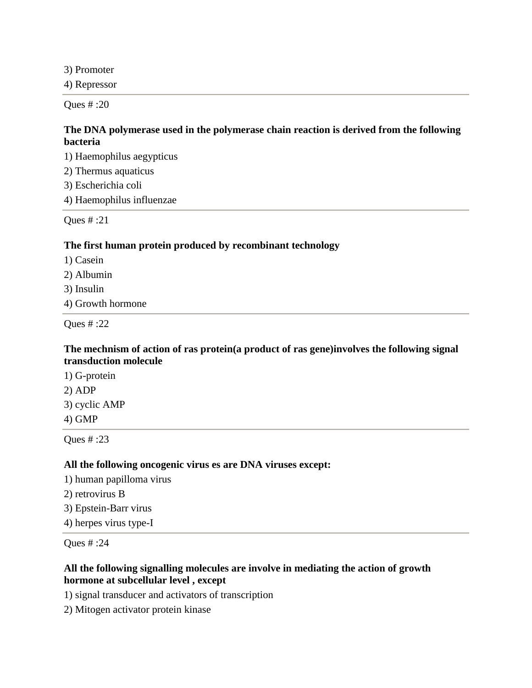3) Promoter

4) Repressor

Ques # :20

# **The DNA polymerase used in the polymerase chain reaction is derived from the following bacteria**

1) Haemophilus aegypticus

2) Thermus aquaticus

3) Escherichia coli

4) Haemophilus influenzae

Ques # :21

### **The first human protein produced by recombinant technology**

1) Casein

2) Albumin

3) Insulin

4) Growth hormone

Ques # :22

# **The mechnism of action of ras protein(a product of ras gene)involves the following signal transduction molecule**

1) G-protein 2) ADP 3) cyclic AMP 4) GMP

Ques # :23

#### **All the following oncogenic virus es are DNA viruses except:**

1) human papilloma virus

- 2) retrovirus B
- 3) Epstein-Barr virus
- 4) herpes virus type-I

Ques # :24

### **All the following signalling molecules are involve in mediating the action of growth hormone at subcellular level , except**

1) signal transducer and activators of transcription

2) Mitogen activator protein kinase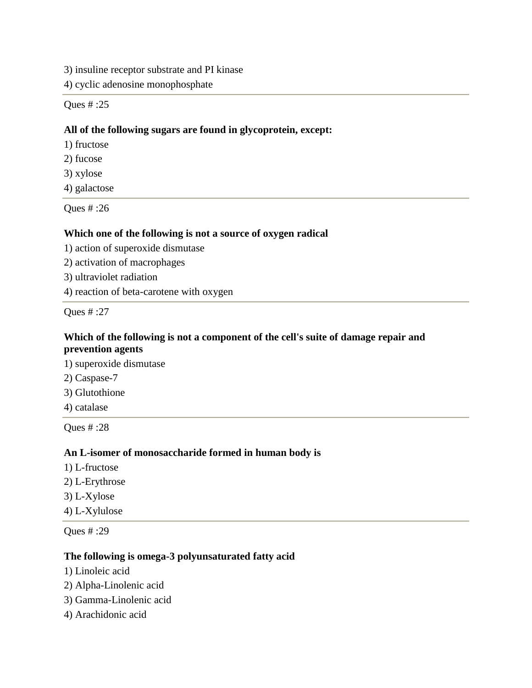3) insuline receptor substrate and PI kinase

4) cyclic adenosine monophosphate

Ques # :25

### **All of the following sugars are found in glycoprotein, except:**

- 1) fructose
- 2) fucose
- 3) xylose
- 4) galactose

Ques # :26

#### **Which one of the following is not a source of oxygen radical**

- 1) action of superoxide dismutase
- 2) activation of macrophages
- 3) ultraviolet radiation
- 4) reaction of beta-carotene with oxygen

Ques # :27

### **Which of the following is not a component of the cell's suite of damage repair and prevention agents**

1) superoxide dismutase

- 2) Caspase-7
- 3) Glutothione
- 4) catalase

Ques # :28

#### **An L-isomer of monosaccharide formed in human body is**

- 1) L-fructose
- 2) L-Erythrose
- 3) L-Xylose
- 4) L-Xylulose

Ques # :29

### **The following is omega-3 polyunsaturated fatty acid**

- 1) Linoleic acid
- 2) Alpha-Linolenic acid
- 3) Gamma-Linolenic acid
- 4) Arachidonic acid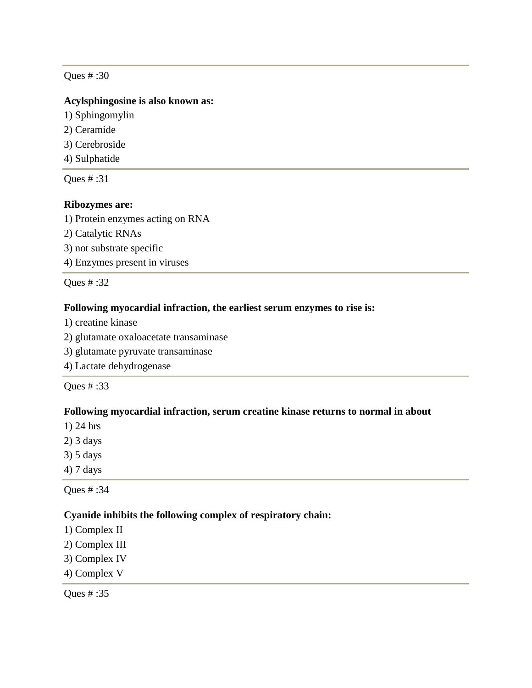#### **Acylsphingosine is also known as:**

- 1) Sphingomylin
- 2) Ceramide
- 3) Cerebroside
- 4) Sulphatide

Ques # :31

#### **Ribozymes are:**

1) Protein enzymes acting on RNA

- 2) Catalytic RNAs
- 3) not substrate specific
- 4) Enzymes present in viruses

Ques # :32

# **Following myocardial infraction, the earliest serum enzymes to rise is:**

- 1) creatine kinase
- 2) glutamate oxaloacetate transaminase
- 3) glutamate pyruvate transaminase
- 4) Lactate dehydrogenase

Ques # :33

#### **Following myocardial infraction, serum creatine kinase returns to normal in about**

- 1) 24 hrs
- 2) 3 days
- 3) 5 days
- 4) 7 days

Ques # :34

#### **Cyanide inhibits the following complex of respiratory chain:**

- 1) Complex II
- 2) Complex III
- 3) Complex IV
- 4) Complex V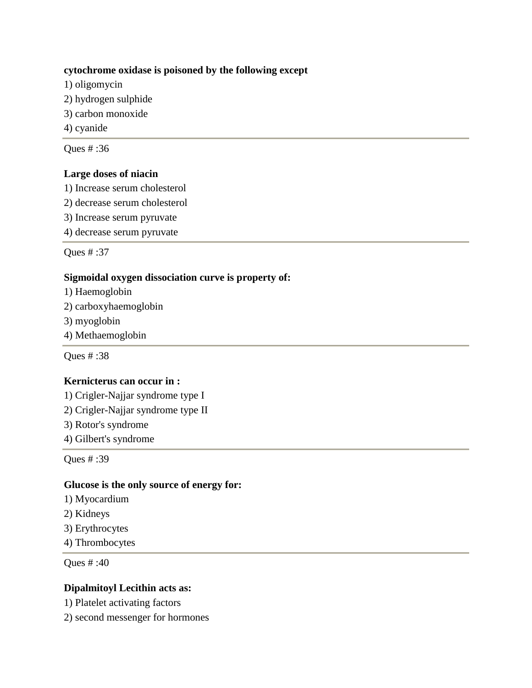### **cytochrome oxidase is poisoned by the following except**

- 1) oligomycin
- 2) hydrogen sulphide
- 3) carbon monoxide
- 4) cyanide

Ques # :36

### **Large doses of niacin**

- 1) Increase serum cholesterol
- 2) decrease serum cholesterol
- 3) Increase serum pyruvate
- 4) decrease serum pyruvate

Ques # :37

# **Sigmoidal oxygen dissociation curve is property of:**

- 1) Haemoglobin
- 2) carboxyhaemoglobin
- 3) myoglobin
- 4) Methaemoglobin

Ques # :38

# **Kernicterus can occur in :**

- 1) Crigler-Najjar syndrome type I
- 2) Crigler-Najjar syndrome type II
- 3) Rotor's syndrome
- 4) Gilbert's syndrome

Ques # :39

#### **Glucose is the only source of energy for:**

- 1) Myocardium
- 2) Kidneys
- 3) Erythrocytes
- 4) Thrombocytes

Ques # :40

### **Dipalmitoyl Lecithin acts as:**

- 1) Platelet activating factors
- 2) second messenger for hormones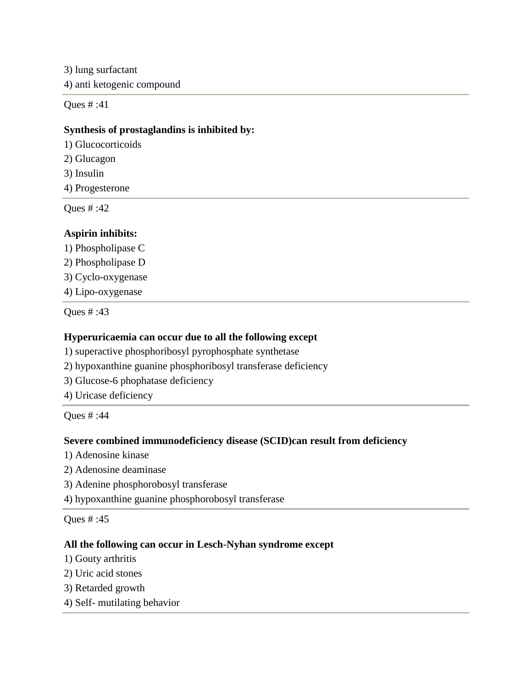3) lung surfactant 4) anti ketogenic compound

Ques # :41

#### **Synthesis of prostaglandins is inhibited by:**

1) Glucocorticoids

2) Glucagon

3) Insulin

4) Progesterone

Ques # :42

### **Aspirin inhibits:**

1) Phospholipase C

2) Phospholipase D

3) Cyclo-oxygenase

4) Lipo-oxygenase

Ques # :43

#### **Hyperuricaemia can occur due to all the following except**

1) superactive phosphoribosyl pyrophosphate synthetase

- 2) hypoxanthine guanine phosphoribosyl transferase deficiency
- 3) Glucose-6 phophatase deficiency

4) Uricase deficiency

Ques # :44

#### **Severe combined immunodeficiency disease (SCID)can result from deficiency**

- 1) Adenosine kinase
- 2) Adenosine deaminase
- 3) Adenine phosphorobosyl transferase

4) hypoxanthine guanine phosphorobosyl transferase

Ques # :45

#### **All the following can occur in Lesch-Nyhan syndrome except**

- 1) Gouty arthritis
- 2) Uric acid stones
- 3) Retarded growth
- 4) Self- mutilating behavior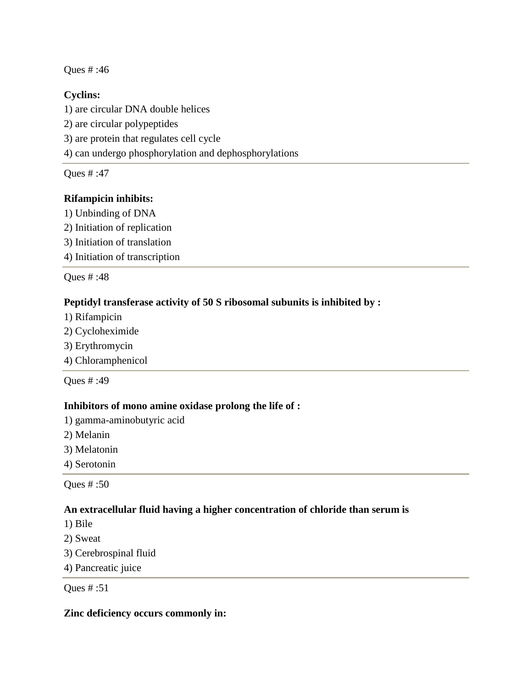# **Cyclins:**

1) are circular DNA double helices 2) are circular polypeptides 3) are protein that regulates cell cycle 4) can undergo phosphorylation and dephosphorylations

Ques # :47

# **Rifampicin inhibits:**

- 1) Unbinding of DNA
- 2) Initiation of replication
- 3) Initiation of translation
- 4) Initiation of transcription

Ques # :48

# **Peptidyl transferase activity of 50 S ribosomal subunits is inhibited by :**

- 1) Rifampicin
- 2) Cycloheximide
- 3) Erythromycin
- 4) Chloramphenicol

Ques # :49

# **Inhibitors of mono amine oxidase prolong the life of :**

1) gamma-aminobutyric acid

- 2) Melanin
- 3) Melatonin
- 4) Serotonin

Ques # :50

# **An extracellular fluid having a higher concentration of chloride than serum is**

- 1) Bile
- 2) Sweat
- 3) Cerebrospinal fluid
- 4) Pancreatic juice

Ques # :51

# **Zinc deficiency occurs commonly in:**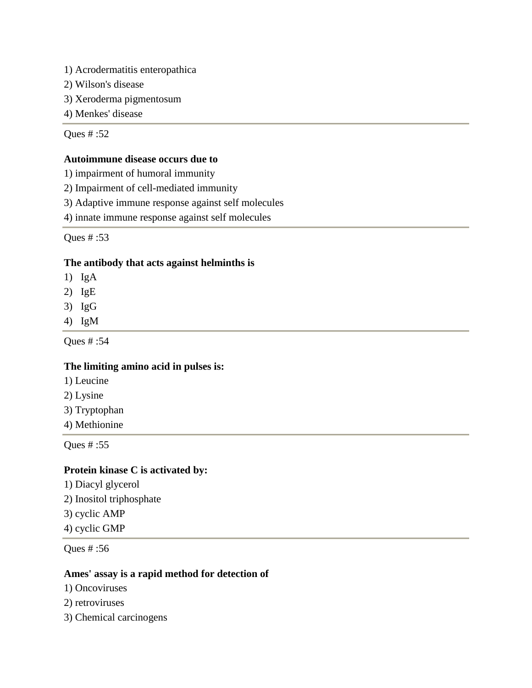- 1) Acrodermatitis enteropathica
- 2) Wilson's disease
- 3) Xeroderma pigmentosum
- 4) Menkes' disease

#### **Autoimmune disease occurs due to**

- 1) impairment of humoral immunity
- 2) Impairment of cell-mediated immunity
- 3) Adaptive immune response against self molecules
- 4) innate immune response against self molecules

Ques # :53

### **The antibody that acts against helminths is**

- 1) IgA
- 2) IgE
- 3) IgG
- 4) IgM

Ques # :54

#### **The limiting amino acid in pulses is:**

- 1) Leucine
- 2) Lysine
- 3) Tryptophan
- 4) Methionine

Ques # :55

# **Protein kinase C is activated by:**

1) Diacyl glycerol 2) Inositol triphosphate 3) cyclic AMP 4) cyclic GMP

Ques # :56

#### **Ames' assay is a rapid method for detection of**

- 1) Oncoviruses
- 2) retroviruses
- 3) Chemical carcinogens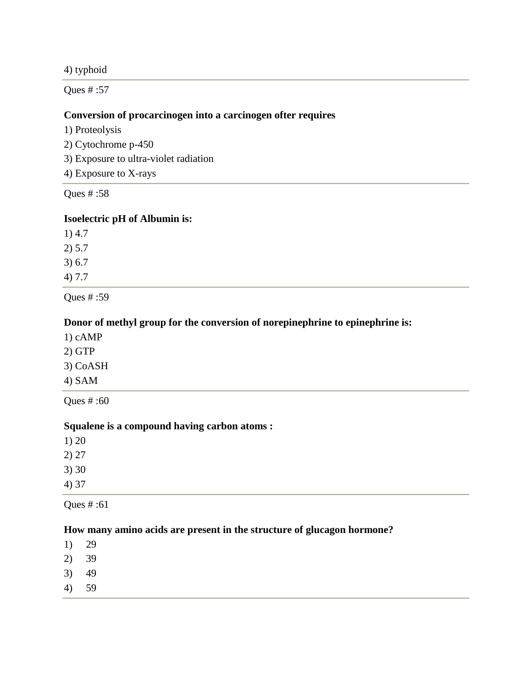4) typhoid

Ques # :57

#### **Conversion of procarcinogen into a carcinogen ofter requires**

1) Proteolysis

2) Cytochrome p-450

3) Exposure to ultra-violet radiation

4) Exposure to X-rays

Ques # :58

#### **Isoelectric pH of Albumin is:**

1) 4.7 2) 5.7 3) 6.7 4) 7.7

Ques # :59

### **Donor of methyl group for the conversion of norepinephrine to epinephrine is:**

- 1) cAMP
- 2) GTP
- 3) CoASH
- 4) SAM

Ques # :60

#### **Squalene is a compound having carbon atoms :**

| 1)20  |  |  |
|-------|--|--|
| 2) 27 |  |  |
| 3)30  |  |  |
| 4) 37 |  |  |

Ques # :61

### **How many amino acids are present in the structure of glucagon hormone?**

1) 29

- 2) 39
- 3) 49
- 4) 59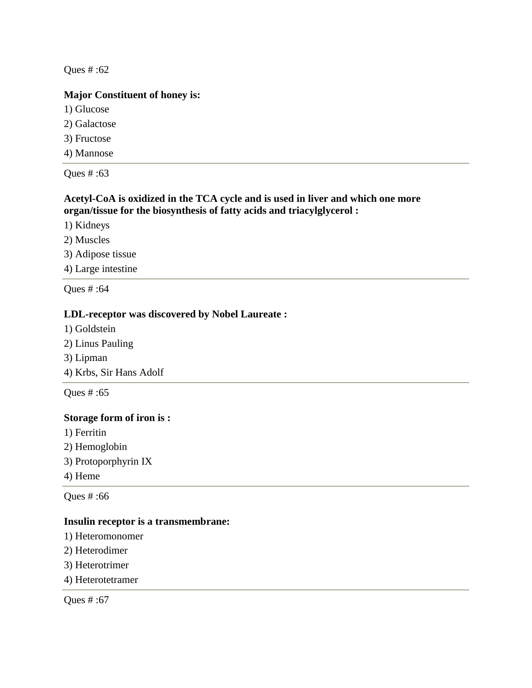# **Major Constituent of honey is:**

1) Glucose

2) Galactose

3) Fructose

4) Mannose

Ques # :63

# **Acetyl-CoA is oxidized in the TCA cycle and is used in liver and which one more organ/tissue for the biosynthesis of fatty acids and triacylglycerol :**

1) Kidneys

2) Muscles

3) Adipose tissue

4) Large intestine

Ques # :64

# **LDL-receptor was discovered by Nobel Laureate :**

1) Goldstein

2) Linus Pauling

3) Lipman

4) Krbs, Sir Hans Adolf

Ques # :65

#### **Storage form of iron is :**

1) Ferritin

- 2) Hemoglobin
- 3) Protoporphyrin IX
- 4) Heme

Ques # :66

#### **Insulin receptor is a transmembrane:**

- 1) Heteromonomer
- 2) Heterodimer
- 3) Heterotrimer
- 4) Heterotetramer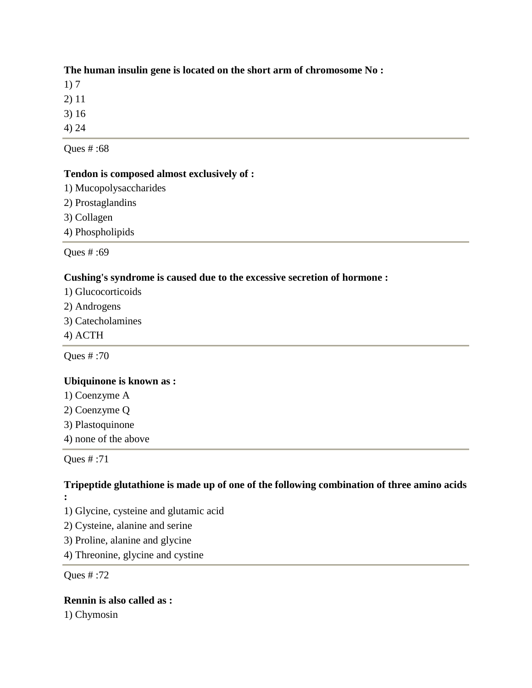# **The human insulin gene is located on the short arm of chromosome No :**

1) 7

2) 11

3) 16

4) 24

Ques # :68

# **Tendon is composed almost exclusively of :**

1) Mucopolysaccharides

2) Prostaglandins

3) Collagen

4) Phospholipids

Ques # :69

# **Cushing's syndrome is caused due to the excessive secretion of hormone :**

- 1) Glucocorticoids
- 2) Androgens
- 3) Catecholamines
- 4) ACTH

Ques # :70

# **Ubiquinone is known as :**

- 1) Coenzyme A
- 2) Coenzyme Q
- 3) Plastoquinone
- 4) none of the above

Ques # :71

#### **Tripeptide glutathione is made up of one of the following combination of three amino acids :**

- 1) Glycine, cysteine and glutamic acid
- 2) Cysteine, alanine and serine
- 3) Proline, alanine and glycine
- 4) Threonine, glycine and cystine

Ques # :72

**Rennin is also called as :** 1) Chymosin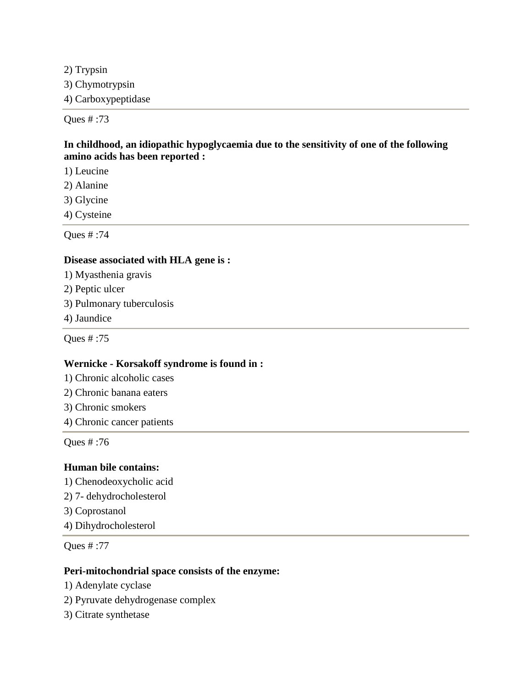2) Trypsin 3) Chymotrypsin 4) Carboxypeptidase

Ques # :73

### **In childhood, an idiopathic hypoglycaemia due to the sensitivity of one of the following amino acids has been reported :**

- 1) Leucine
- 2) Alanine
- 3) Glycine
- 4) Cysteine

Ques # :74

#### **Disease associated with HLA gene is :**

- 1) Myasthenia gravis
- 2) Peptic ulcer
- 3) Pulmonary tuberculosis
- 4) Jaundice

Ques # :75

### **Wernicke - Korsakoff syndrome is found in :**

- 1) Chronic alcoholic cases
- 2) Chronic banana eaters
- 3) Chronic smokers
- 4) Chronic cancer patients

Ques # :76

#### **Human bile contains:**

- 1) Chenodeoxycholic acid
- 2) 7- dehydrocholesterol
- 3) Coprostanol
- 4) Dihydrocholesterol

Ques # :77

#### **Peri-mitochondrial space consists of the enzyme:**

- 1) Adenylate cyclase
- 2) Pyruvate dehydrogenase complex
- 3) Citrate synthetase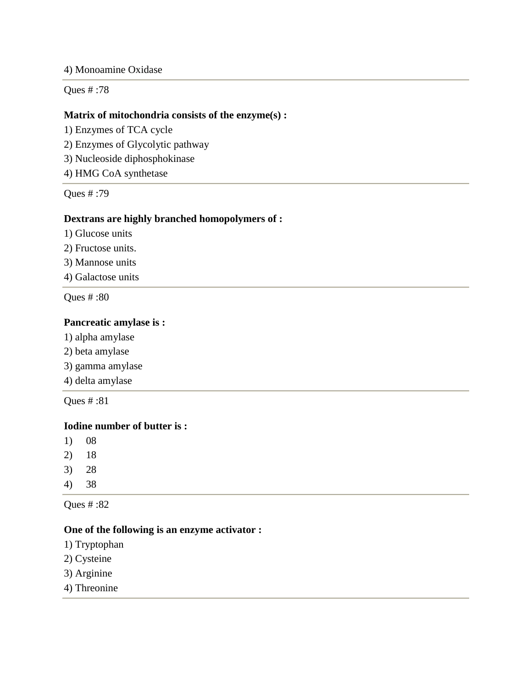#### 4) Monoamine Oxidase

Ques # :78

#### **Matrix of mitochondria consists of the enzyme(s) :**

- 1) Enzymes of TCA cycle
- 2) Enzymes of Glycolytic pathway
- 3) Nucleoside diphosphokinase
- 4) HMG CoA synthetase

Ques # :79

#### **Dextrans are highly branched homopolymers of :**

- 1) Glucose units
- 2) Fructose units.
- 3) Mannose units
- 4) Galactose units

Ques # :80

#### **Pancreatic amylase is :**

- 1) alpha amylase
- 2) beta amylase
- 3) gamma amylase
- 4) delta amylase

Ques # :81

### **Iodine number of butter is :**

- 1) 08
- 2) 18
- 3) 28
- 4) 38

Ques # :82

#### **One of the following is an enzyme activator :**

- 1) Tryptophan
- 2) Cysteine
- 3) Arginine
- 4) Threonine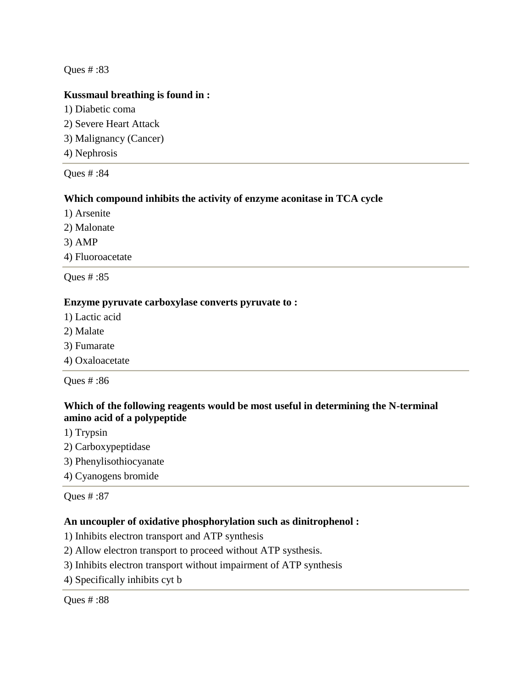### **Kussmaul breathing is found in :**

- 1) Diabetic coma
- 2) Severe Heart Attack
- 3) Malignancy (Cancer)
- 4) Nephrosis

### Ques # :84

### **Which compound inhibits the activity of enzyme aconitase in TCA cycle**

- 1) Arsenite
- 2) Malonate
- 3) AMP
- 4) Fluoroacetate

Ques # :85

#### **Enzyme pyruvate carboxylase converts pyruvate to :**

- 1) Lactic acid
- 2) Malate
- 3) Fumarate
- 4) Oxaloacetate

Ques # :86

# **Which of the following reagents would be most useful in determining the N-terminal amino acid of a polypeptide**

- 1) Trypsin
- 2) Carboxypeptidase
- 3) Phenylisothiocyanate
- 4) Cyanogens bromide

Ques # :87

#### **An uncoupler of oxidative phosphorylation such as dinitrophenol :**

- 1) Inhibits electron transport and ATP synthesis
- 2) Allow electron transport to proceed without ATP systhesis.
- 3) Inhibits electron transport without impairment of ATP synthesis
- 4) Specifically inhibits cyt b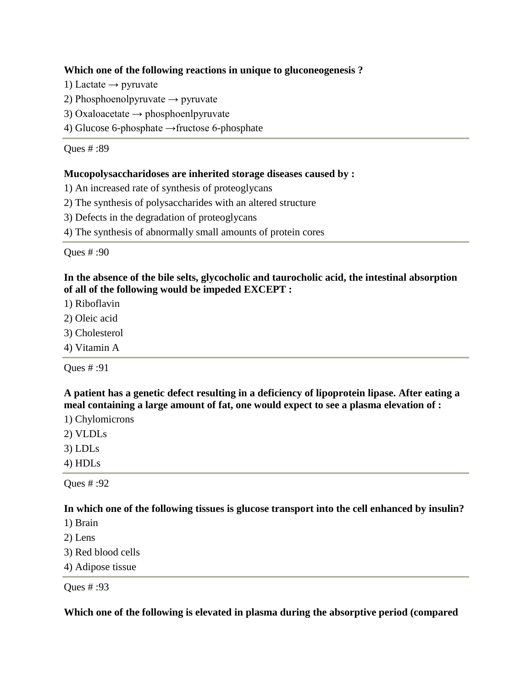### **Which one of the following reactions in unique to gluconeogenesis ?**

- 1) Lactate  $\rightarrow$  pyruvate
- 2) Phosphoenolpyruvate  $\rightarrow$  pyruvate
- 3) Oxaloacetate  $\rightarrow$  phosphoenlpyruvate
- 4) Glucose 6-phosphate →fructose 6-phosphate

Ques # :89

#### **Mucopolysaccharidoses are inherited storage diseases caused by :**

1) An increased rate of synthesis of proteoglycans

- 2) The synthesis of polysaccharides with an altered structure
- 3) Defects in the degradation of proteoglycans
- 4) The synthesis of abnormally small amounts of protein cores

Ques # :90

### **In the absence of the bile selts, glycocholic and taurocholic acid, the intestinal absorption of all of the following would be impeded EXCEPT :**

- 1) Riboflavin
- 2) Oleic acid
- 3) Cholesterol
- 4) Vitamin A

Ques # :91

**A patient has a genetic defect resulting in a deficiency of lipoprotein lipase. After eating a meal containing a large amount of fat, one would expect to see a plasma elevation of :**

1) Chylomicrons

2) VLDLs

- 3) LDLs
- 4) HDLs

Ques # :92

**In which one of the following tissues is glucose transport into the cell enhanced by insulin?**

- 1) Brain
- 2) Lens
- 3) Red blood cells
- 4) Adipose tissue

Ques # :93

**Which one of the following is elevated in plasma during the absorptive period (compared**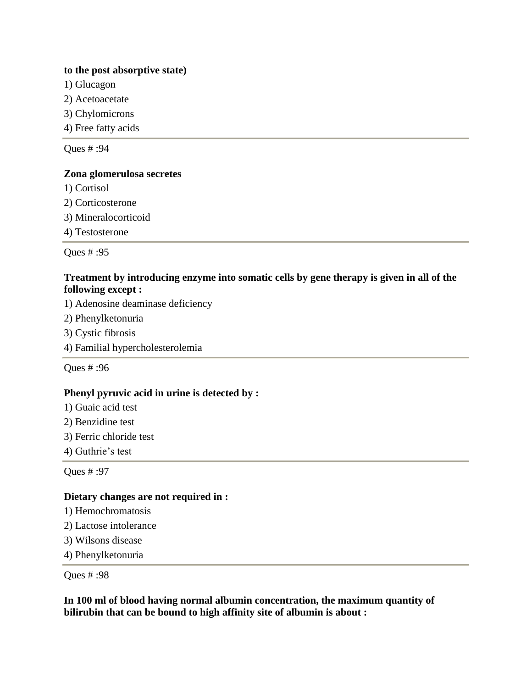#### **to the post absorptive state)**

- 1) Glucagon
- 2) Acetoacetate
- 3) Chylomicrons
- 4) Free fatty acids

Ques # :94

#### **Zona glomerulosa secretes**

- 1) Cortisol
- 2) Corticosterone
- 3) Mineralocorticoid
- 4) Testosterone

Ques # :95

### **Treatment by introducing enzyme into somatic cells by gene therapy is given in all of the following except :**

- 1) Adenosine deaminase deficiency
- 2) Phenylketonuria
- 3) Cystic fibrosis
- 4) Familial hypercholesterolemia

Ques # :96

#### **Phenyl pyruvic acid in urine is detected by :**

- 1) Guaic acid test
- 2) Benzidine test
- 3) Ferric chloride test
- 4) Guthrie's test

Ques # :97

#### **Dietary changes are not required in :**

- 1) Hemochromatosis
- 2) Lactose intolerance
- 3) Wilsons disease
- 4) Phenylketonuria

Ques # :98

**In 100 ml of blood having normal albumin concentration, the maximum quantity of bilirubin that can be bound to high affinity site of albumin is about :**